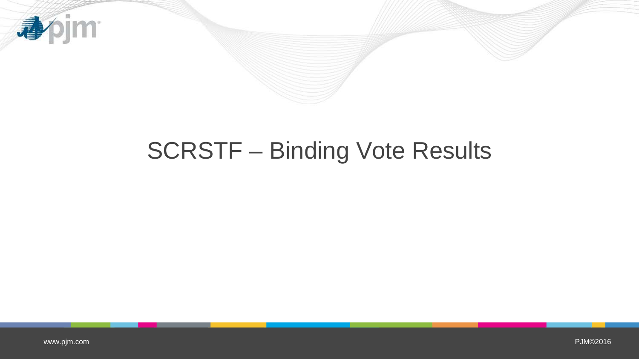

# SCRSTF – Binding Vote Results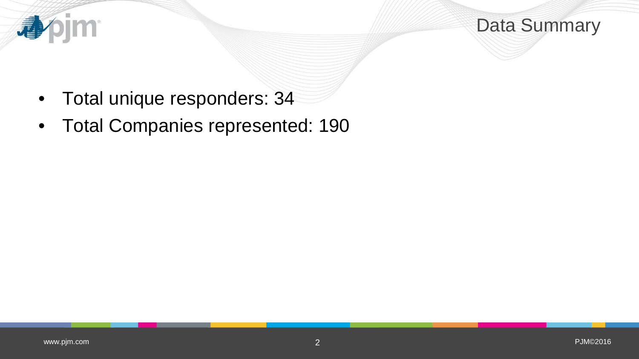

Data Summary

- Total unique responders: 34
- Total Companies represented: 190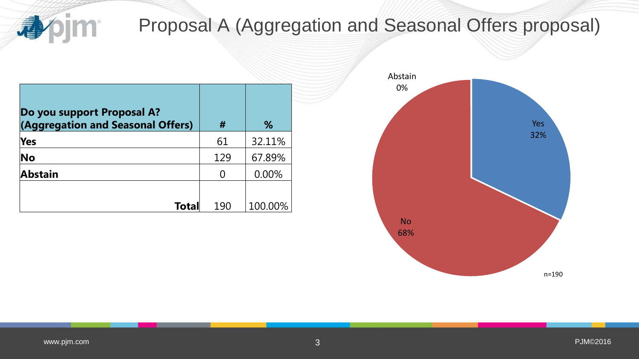

# Proposal A (Aggregation and Seasonal Offers proposal)

| Do you support Proposal A?<br>(Aggregation and Seasonal Offers) | #   | %       |  |
|-----------------------------------------------------------------|-----|---------|--|
| Yes                                                             | 61  | 32.11%  |  |
| <b>No</b>                                                       | 129 | 67.89%  |  |
| <b>Abstain</b>                                                  | 0   | 0.00%   |  |
|                                                                 |     |         |  |
| <b>Total</b>                                                    | 190 | 100.00% |  |

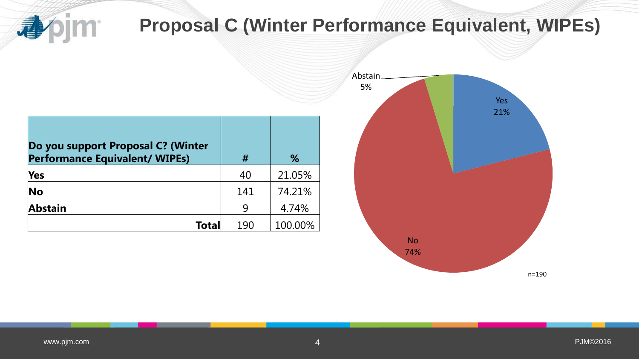bjm<sup>.</sup> 重

# **Proposal C (Winter Performance Equivalent, WIPEs)**

| Do you support Proposal C? (Winter<br><b>Performance Equivalent/ WIPEs)</b> | #   | %       |
|-----------------------------------------------------------------------------|-----|---------|
| <b>Yes</b>                                                                  | 40  | 21.05%  |
| No                                                                          | 141 | 74.21%  |
| <b>Abstain</b>                                                              | 9   | 4.74%   |
| Total                                                                       | 190 | 100.00% |

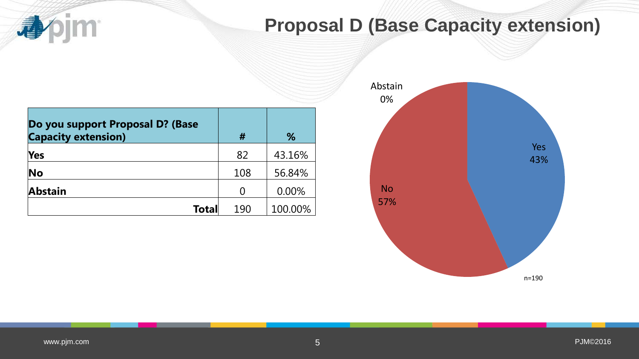

### **Proposal D (Base Capacity extension)**

| Do you support Proposal D? (Base<br><b>Capacity extension)</b> | #   | %       |
|----------------------------------------------------------------|-----|---------|
| <b>Yes</b>                                                     | 82  | 43.16%  |
| No                                                             | 108 | 56.84%  |
| <b>Abstain</b>                                                 |     | 0.00%   |
| <b>Total</b>                                                   | 190 | 100.00% |

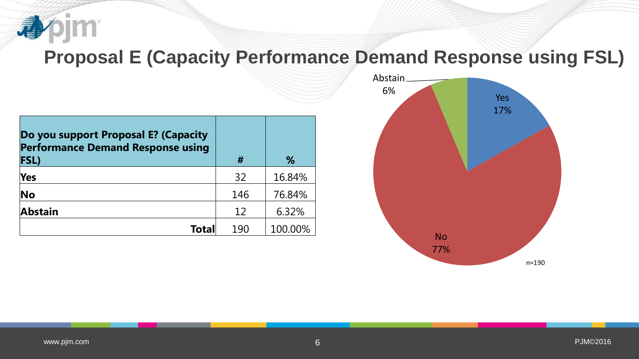

#### **Proposal E (Capacity Performance Demand Response using FSL)**

| Do you support Proposal E? (Capacity<br><b>Performance Demand Response using</b><br><b>FSL)</b> | #   | %       |
|-------------------------------------------------------------------------------------------------|-----|---------|
| Yes                                                                                             | 32  | 16.84%  |
| No                                                                                              | 146 | 76.84%  |
| <b>Abstain</b>                                                                                  | 12  | 6.32%   |
| Totall                                                                                          | 190 | 100.00% |

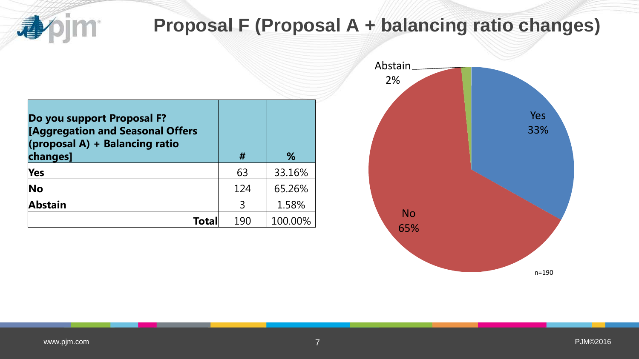bjm<sup>.</sup> 尋

# **Proposal F (Proposal A + balancing ratio changes)**

| Do you support Proposal F?<br>[Aggregation and Seasonal Offers<br>(proposal A) + Balancing ratio<br>changes] | #   | %       |
|--------------------------------------------------------------------------------------------------------------|-----|---------|
| <b>Yes</b>                                                                                                   | 63  | 33.16%  |
| No                                                                                                           | 124 | 65.26%  |
| <b>Abstain</b>                                                                                               | 3   | 1.58%   |
| Total                                                                                                        | 190 | 100.00% |